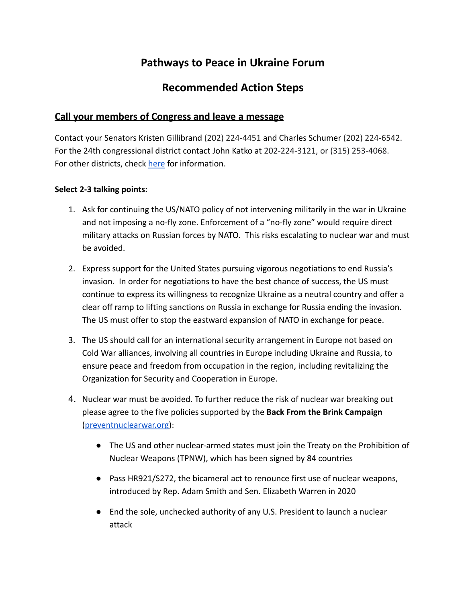# **Pathways to Peace in Ukraine Forum**

## **Recommended Action Steps**

### **Call your members of Congress and leave a message**

Contact your Senators Kristen Gillibrand (202) 224-4451 and Charles Schumer (202) 224-6542. For the 24th congressional district contact John Katko at 202-224-3121, or (315) 253-4068. For other districts, check [here](https://www.house.gov/representatives/find-your-representative#:~:text=If%20you%20know%20who%20your,the%20U.S.%20House%20switchboard%20operator.) for information.

#### **Select 2-3 talking points:**

- 1. Ask for continuing the US/NATO policy of not intervening militarily in the war in Ukraine and not imposing a no-fly zone. Enforcement of a "no-fly zone" would require direct military attacks on Russian forces by NATO. This risks escalating to nuclear war and must be avoided.
- 2. Express support for the United States pursuing vigorous negotiations to end Russia's invasion. In order for negotiations to have the best chance of success, the US must continue to express its willingness to recognize Ukraine as a neutral country and offer a clear off ramp to lifting sanctions on Russia in exchange for Russia ending the invasion. The US must offer to stop the eastward expansion of NATO in exchange for peace.
- 3. The US should call for an international security arrangement in Europe not based on Cold War alliances, involving all countries in Europe including Ukraine and Russia, to ensure peace and freedom from occupation in the region, including revitalizing the Organization for Security and Cooperation in Europe.
- 4. Nuclear war must be avoided. To further reduce the risk of nuclear war breaking out please agree to the five policies supported by the **Back From the Brink Campaign** ([preventnuclearwar.org\)](https://preventnuclearwar.org/):
	- The US and other nuclear-armed states must join the Treaty on the Prohibition of Nuclear Weapons (TPNW), which has been signed by 84 countries
	- Pass HR921/S272, the bicameral act to renounce first use of nuclear weapons, introduced by Rep. Adam Smith and Sen. Elizabeth Warren in 2020
	- End the sole, unchecked authority of any U.S. President to launch a nuclear attack